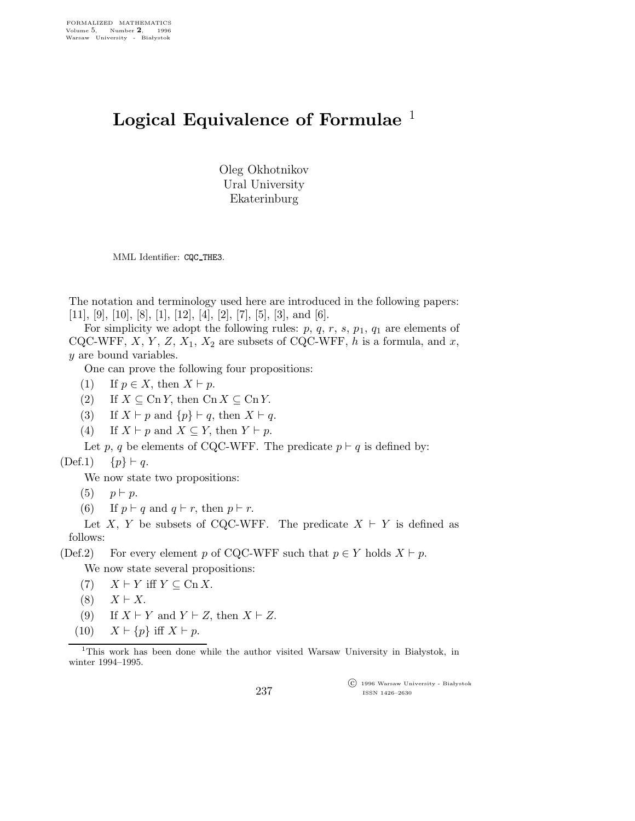## Logical Equivalence of Formulae  $<sup>1</sup>$ </sup>

Oleg Okhotnikov Ural University Ekaterinburg

MML Identifier: CQC THE3.

The notation and terminology used here are introduced in the following papers:  $[11]$ ,  $[9]$ ,  $[10]$ ,  $[8]$ ,  $[1]$ ,  $[12]$ ,  $[4]$ ,  $[2]$ ,  $[7]$ ,  $[5]$ ,  $[3]$ , and  $[6]$ .

For simplicity we adopt the following rules:  $p, q, r, s, p_1, q_1$  are elements of CQC-WFF,  $X, Y, Z, X_1, X_2$  are subsets of CQC-WFF, h is a formula, and x, y are bound variables.

One can prove the following four propositions:

- (1) If  $p \in X$ , then  $X \vdash p$ .
- (2) If  $X \subseteq \text{Cn } Y$ , then  $\text{Cn } X \subseteq \text{Cn } Y$ .
- (3) If  $X \vdash p$  and  $\{p\} \vdash q$ , then  $X \vdash q$ .

(4) If  $X \vdash p$  and  $X \subseteq Y$ , then  $Y \vdash p$ .

Let p, q be elements of CQC-WFF. The predicate  $p \vdash q$  is defined by:

 $(Def.1)$  {p} ⊢ q.

We now state two propositions:

(5)  $p \vdash p$ .

(6) If  $p \vdash q$  and  $q \vdash r$ , then  $p \vdash r$ .

Let X, Y be subsets of CQC-WFF. The predicate  $X \vdash Y$  is defined as follows:

(Def.2) For every element p of CQC-WFF such that  $p \in Y$  holds  $X \vdash p$ .

We now state several propositions:

- (7)  $X \vdash Y$  iff  $Y \subseteq \text{Cn } X$ .
- $(8)$   $X \vdash X$ .
- (9) If  $X \vdash Y$  and  $Y \vdash Z$ , then  $X \vdash Z$ .
- (10)  $X \vdash \{p\}$  iff  $X \vdash p$ .

<sup>1</sup>This work has been done while the author visited Warsaw University in Białystok, in winter 1994–1995.

 $\overline{\text{C}}$  1996 Warsaw University - Białystok ISSN 1426–2630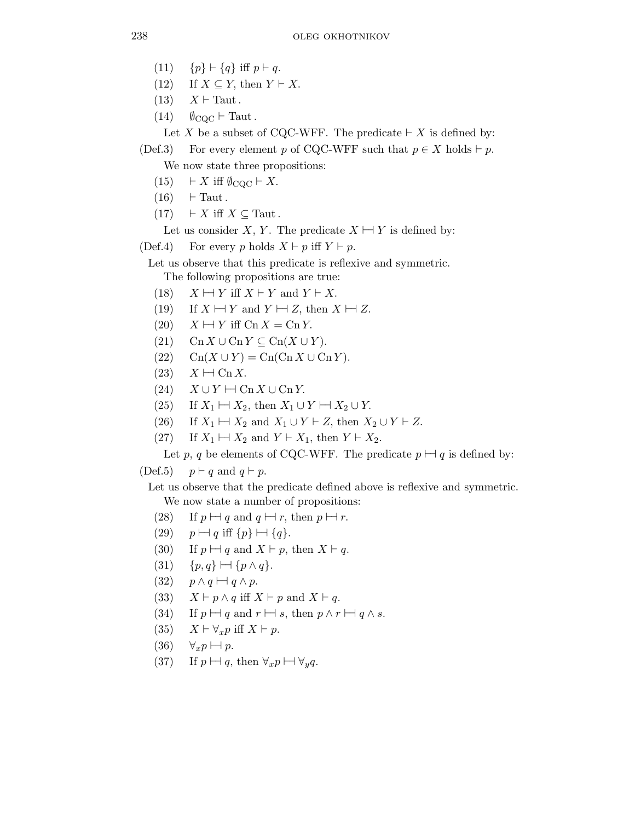- (11) { $p$ }  $\vdash$  {q} iff  $p \vdash q$ .
- (12) If  $X \subseteq Y$ , then  $Y \vdash X$ .
- $(13)$   $X \vdash$  Taut.
- $(14)$   $\emptyset$ <sub>CQC</sub>  $\vdash$  Taut.

Let X be a subset of CQC-WFF. The predicate  $\vdash X$  is defined by:

(Def.3) For every element p of CQC-WFF such that  $p \in X$  holds  $\vdash p$ . We now state three propositions:

- (15)  $\vdash X$  iff  $\emptyset_{\text{CQC}} \vdash X$ .
- $(16)$  ⊢ Taut.
- $(17)$  ⊢ X iff  $X \subseteq$  Taut.

Let us consider X, Y. The predicate  $X \vdash Y$  is defined by:

(Def.4) For every p holds  $X \vdash p$  iff  $Y \vdash p$ .

Let us observe that this predicate is reflexive and symmetric.

The following propositions are true:

- (18)  $X \mapsto Y$  iff  $X \vdash Y$  and  $Y \vdash X$ .
- (19) If  $X \mapsto Y$  and  $Y \mapsto Z$ , then  $X \mapsto Z$ .
- $(20)$   $X \mapsto Y$  iff  $\text{Cn } X = \text{Cn } Y$ .
- (21) Cn  $X \cup C^n Y \subseteq C^n(X \cup Y)$ .
- $(22)$  Cn(X ∪ Y) = Cn(Cn X ∪ Cn Y).
- $(23)$   $X \mapsto \text{Cn } X.$
- $(24)$   $X \cup Y \mapsto \text{Cn } X \cup \text{Cn } Y.$
- (25) If  $X_1 \mapsto X_2$ , then  $X_1 \cup Y \mapsto X_2 \cup Y$ .
- (26) If  $X_1 \mapsto X_2$  and  $X_1 \cup Y \vdash Z$ , then  $X_2 \cup Y \vdash Z$ .
- (27) If  $X_1 \mapsto X_2$  and  $Y \vdash X_1$ , then  $Y \vdash X_2$ .

Let p, q be elements of CQC-WFF. The predicate  $p \vdash q$  is defined by:

(Def.5)  $p \vdash q$  and  $q \vdash p$ .

Let us observe that the predicate defined above is reflexive and symmetric. We now state a number of propositions:

- (28) If  $p \mapsto q$  and  $q \mapsto r$ , then  $p \mapsto r$ .
- $(29)$   $p \mapsto q$  iff  $\{p\} \mapsto \{q\}.$
- (30) If  $p \mapsto q$  and  $X \vdash p$ , then  $X \vdash q$ .
- $(31)$  {p,q}  $\vdash \exists p \land q$  }.
- $(32)$   $p \wedge q \mapsto q \wedge p$ .
- (33)  $X \vdash p \land q$  iff  $X \vdash p$  and  $X \vdash q$ .
- (34) If  $p \mapsto q$  and  $r \mapsto s$ , then  $p \wedge r \mapsto q \wedge s$ .
- (35)  $X \vdash \forall_x p \text{ iff } X \vdash p$ .
- (36)  $\forall_x p \mapsto p$ .
- (37) If  $p \mapsto q$ , then  $\forall_x p \mapsto \forall_y q$ .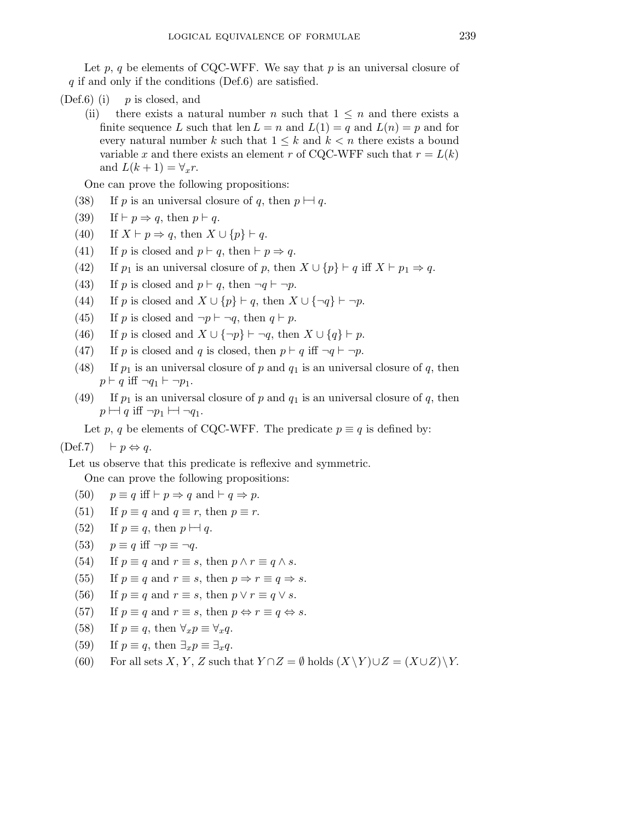Let  $p$ ,  $q$  be elements of CQC-WFF. We say that  $p$  is an universal closure of  $q$  if and only if the conditions (Def.6) are satisfied.

- $(Def.6)$  (i) p is closed, and
	- (ii) there exists a natural number n such that  $1 \leq n$  and there exists a finite sequence L such that len  $L = n$  and  $L(1) = q$  and  $L(n) = p$  and for every natural number k such that  $1 \leq k$  and  $k < n$  there exists a bound variable x and there exists an element r of CQC-WFF such that  $r = L(k)$ and  $L(k+1) = \forall_x r$ .

One can prove the following propositions:

- (38) If p is an universal closure of q, then  $p \mapsto q$ .
- (39) If  $\vdash p \Rightarrow q$ , then  $p \vdash q$ .
- (40) If  $X \vdash p \Rightarrow q$ , then  $X \cup \{p\} \vdash q$ .
- (41) If p is closed and  $p \vdash q$ , then  $\vdash p \Rightarrow q$ .
- (42) If  $p_1$  is an universal closure of p, then  $X \cup \{p\} \vdash q$  iff  $X \vdash p_1 \Rightarrow q$ .
- (43) If p is closed and  $p \vdash q$ , then  $\neg q \vdash \neg p$ .
- (44) If p is closed and  $X \cup \{p\} \vdash q$ , then  $X \cup \{\neg q\} \vdash \neg p$ .
- (45) If p is closed and  $\neg p \vdash \neg q$ , then  $q \vdash p$ .
- (46) If p is closed and  $X \cup {\neg p}$  ⊢ ¬q, then  $X \cup {q}$  ⊢ p.
- (47) If p is closed and q is closed, then  $p \vdash q$  iff  $\neg q \vdash \neg p$ .
- (48) If  $p_1$  is an universal closure of p and  $q_1$  is an universal closure of q, then  $p \vdash q$  iff  $\neg q_1 \vdash \neg p_1$ .
- (49) If  $p_1$  is an universal closure of p and  $q_1$  is an universal closure of q, then  $p \mapsto q$  iff  $\neg p_1 \mapsto \neg q_1$ .

Let p, q be elements of CQC-WFF. The predicate  $p \equiv q$  is defined by:

## $(Def.7)$  ⊢  $p \Leftrightarrow q$ .

Let us observe that this predicate is reflexive and symmetric.

One can prove the following propositions:

- (50)  $p \equiv q$  iff  $\vdash p \Rightarrow q$  and  $\vdash q \Rightarrow p$ .
- (51) If  $p \equiv q$  and  $q \equiv r$ , then  $p \equiv r$ .
- (52) If  $p \equiv q$ , then  $p \mapsto q$ .
- (53)  $p \equiv q$  iff  $\neg p \equiv \neg q$ .
- (54) If  $p \equiv q$  and  $r \equiv s$ , then  $p \wedge r \equiv q \wedge s$ .
- (55) If  $p \equiv q$  and  $r \equiv s$ , then  $p \Rightarrow r \equiv q \Rightarrow s$ .
- (56) If  $p \equiv q$  and  $r \equiv s$ , then  $p \vee r \equiv q \vee s$ .
- (57) If  $p \equiv q$  and  $r \equiv s$ , then  $p \Leftrightarrow r \equiv q \Leftrightarrow s$ .
- (58) If  $p \equiv q$ , then  $\forall_x p \equiv \forall_x q$ .
- (59) If  $p \equiv q$ , then  $\exists_x p \equiv \exists_x q$ .
- (60) For all sets X, Y, Z such that  $Y \cap Z = \emptyset$  holds  $(X \ Y) \cup Z = (X \cup Z) \ Y$ .